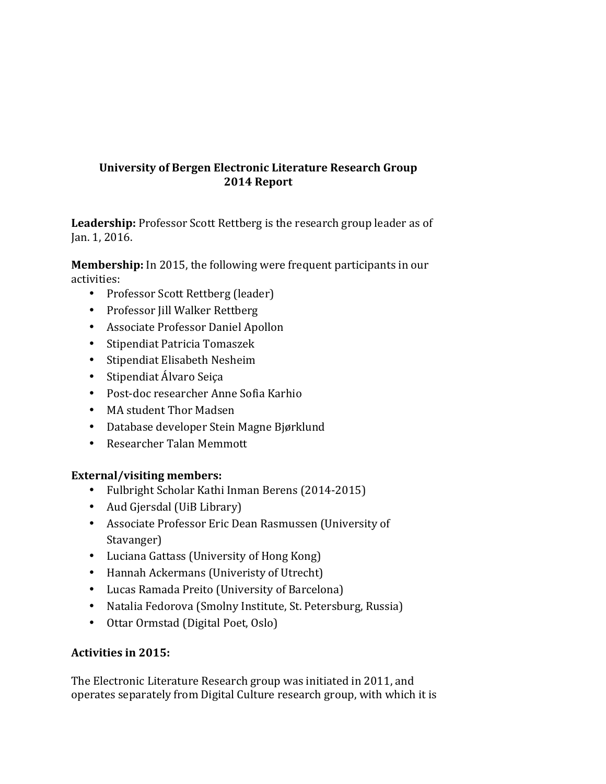# **University of Bergen Electronic Literature Research Group 2014 Report**

Leadership: Professor Scott Rettberg is the research group leader as of Jan. 1, 2016.

**Membership:** In 2015, the following were frequent participants in our activities:

- Professor Scott Rettberg (leader)
- Professor Jill Walker Rettberg
- Associate Professor Daniel Apollon
- Stipendiat Patricia Tomaszek
- Stipendiat Elisabeth Nesheim
- Stipendiat Álvaro Seiça
- Post-doc researcher Anne Sofia Karhio
- MA student Thor Madsen
- Database developer Stein Magne Bjørklund
- Researcher Talan Memmott

## External/visiting members:

- Fulbright Scholar Kathi Inman Berens (2014-2015)
- Aud Gjersdal (UiB Library)
- Associate Professor Eric Dean Rasmussen (University of Stavanger)
- Luciana Gattass (University of Hong Kong)
- Hannah Ackermans (Univeristy of Utrecht)
- Lucas Ramada Preito (University of Barcelona)
- Natalia Fedorova (Smolny Institute, St. Petersburg, Russia)
- Ottar Ormstad (Digital Poet, Oslo)

## Activities in 2015:

The Electronic Literature Research group was initiated in 2011, and operates separately from Digital Culture research group, with which it is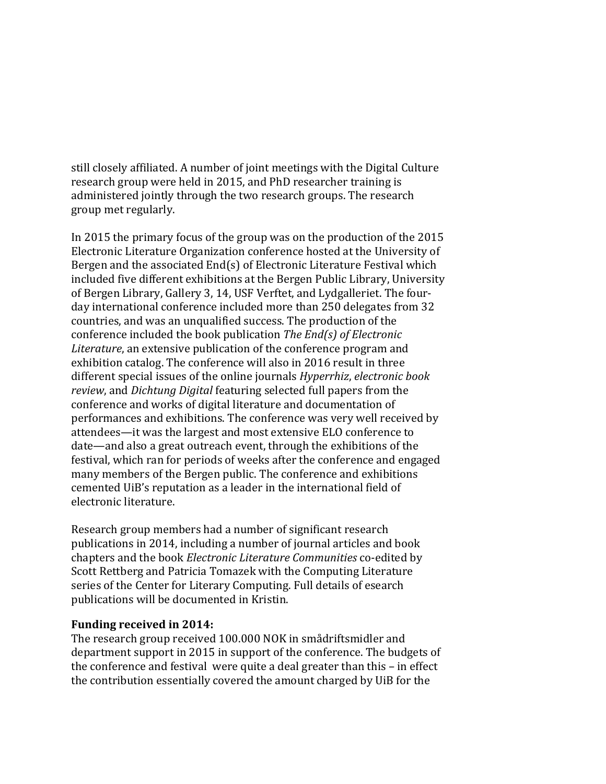still closely affiliated. A number of joint meetings with the Digital Culture research group were held in 2015, and PhD researcher training is administered jointly through the two research groups. The research group met regularly.

In 2015 the primary focus of the group was on the production of the 2015 Electronic Literature Organization conference hosted at the University of Bergen and the associated  $End(s)$  of Electronic Literature Festival which included five different exhibitions at the Bergen Public Library, University of Bergen Library, Gallery 3, 14, USF Verftet, and Lydgalleriet. The fourday international conference included more than 250 delegates from 32 countries, and was an unqualified success. The production of the conference included the book publication *The End(s)* of *Electronic* Literature, an extensive publication of the conference program and exhibition catalog. The conference will also in 2016 result in three different special issues of the online journals *Hyperrhiz*, *electronic book review*, and *Dichtung Digital* featuring selected full papers from the conference and works of digital literature and documentation of performances and exhibitions. The conference was very well received by attendees—it was the largest and most extensive ELO conference to date—and also a great outreach event, through the exhibitions of the festival, which ran for periods of weeks after the conference and engaged many members of the Bergen public. The conference and exhibitions cemented UiB's reputation as a leader in the international field of electronic literature.

Research group members had a number of significant research publications in 2014, including a number of journal articles and book chapters and the book *Electronic Literature Communities* co-edited by Scott Rettberg and Patricia Tomazek with the Computing Literature series of the Center for Literary Computing. Full details of esearch publications will be documented in Kristin.

## Funding received in 2014:

The research group received 100.000 NOK in smådriftsmidler and department support in 2015 in support of the conference. The budgets of the conference and festival were quite a deal greater than this  $-$  in effect the contribution essentially covered the amount charged by UiB for the